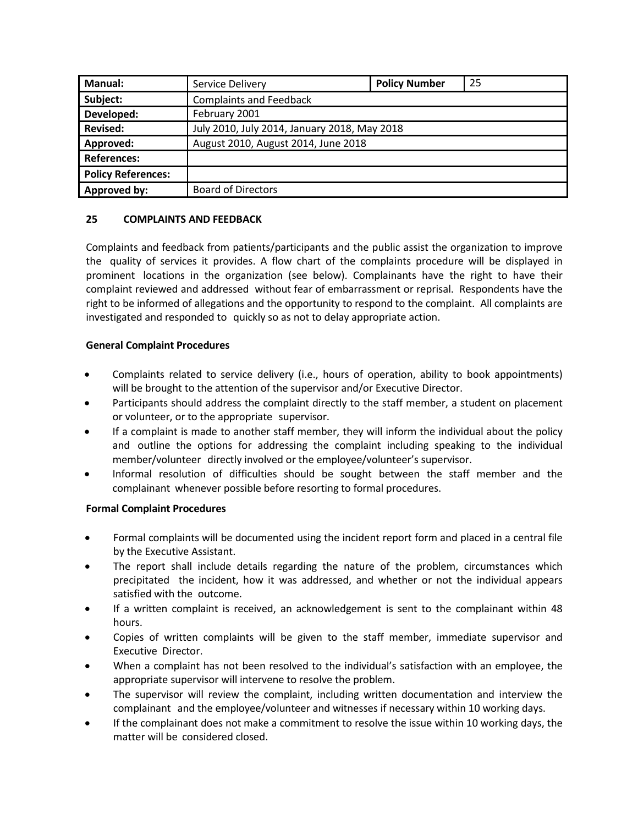| <b>Manual:</b>            | Service Delivery                             | <b>Policy Number</b> | 25 |
|---------------------------|----------------------------------------------|----------------------|----|
| Subject:                  | <b>Complaints and Feedback</b>               |                      |    |
| Developed:                | February 2001                                |                      |    |
| <b>Revised:</b>           | July 2010, July 2014, January 2018, May 2018 |                      |    |
| Approved:                 | August 2010, August 2014, June 2018          |                      |    |
| <b>References:</b>        |                                              |                      |    |
| <b>Policy References:</b> |                                              |                      |    |
| Approved by:              | <b>Board of Directors</b>                    |                      |    |

## **25 COMPLAINTS AND FEEDBACK**

Complaints and feedback from patients/participants and the public assist the organization to improve the quality of services it provides. A flow chart of the complaints procedure will be displayed in prominent locations in the organization (see below). Complainants have the right to have their complaint reviewed and addressed without fear of embarrassment or reprisal. Respondents have the right to be informed of allegations and the opportunity to respond to the complaint. All complaints are investigated and responded to quickly so as not to delay appropriate action.

## **General Complaint Procedures**

- Complaints related to service delivery (i.e., hours of operation, ability to book appointments) will be brought to the attention of the supervisor and/or Executive Director.
- Participants should address the complaint directly to the staff member, a student on placement or volunteer, or to the appropriate supervisor.
- If a complaint is made to another staff member, they will inform the individual about the policy and outline the options for addressing the complaint including speaking to the individual member/volunteer directly involved or the employee/volunteer's supervisor.
- Informal resolution of difficulties should be sought between the staff member and the complainant whenever possible before resorting to formal procedures.

## **Formal Complaint Procedures**

- Formal complaints will be documented using the incident report form and placed in a central file by the Executive Assistant.
- The report shall include details regarding the nature of the problem, circumstances which precipitated the incident, how it was addressed, and whether or not the individual appears satisfied with the outcome.
- If a written complaint is received, an acknowledgement is sent to the complainant within 48 hours.
- Copies of written complaints will be given to the staff member, immediate supervisor and Executive Director.
- When a complaint has not been resolved to the individual's satisfaction with an employee, the appropriate supervisor will intervene to resolve the problem.
- The supervisor will review the complaint, including written documentation and interview the complainant and the employee/volunteer and witnesses if necessary within 10 working days.
- If the complainant does not make a commitment to resolve the issue within 10 working days, the matter will be considered closed.